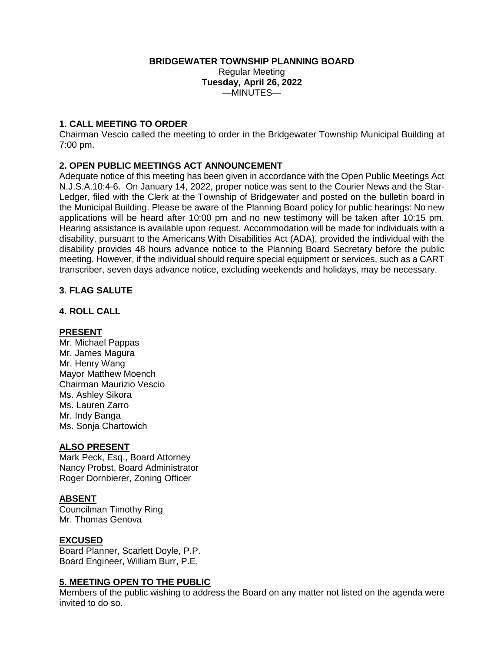### **BRIDGEWATER TOWNSHIP PLANNING BOARD**

Regular Meeting **Tuesday, April 26, 2022**  $-MINUITES$ —

# **1. CALL MEETING TO ORDER**

Chairman Vescio called the meeting to order in the Bridgewater Township Municipal Building at 7:00 pm.

# **2. OPEN PUBLIC MEETINGS ACT ANNOUNCEMENT**

Adequate notice of this meeting has been given in accordance with the Open Public Meetings Act N.J.S.A.10:4-6. On January 14, 2022, proper notice was sent to the Courier News and the Star-Ledger, filed with the Clerk at the Township of Bridgewater and posted on the bulletin board in the Municipal Building. Please be aware of the Planning Board policy for public hearings: No new applications will be heard after 10:00 pm and no new testimony will be taken after 10:15 pm. Hearing assistance is available upon request. Accommodation will be made for individuals with a disability, pursuant to the Americans With Disabilities Act (ADA), provided the individual with the disability provides 48 hours advance notice to the Planning Board Secretary before the public meeting. However, if the individual should require special equipment or services, such as a CART transcriber, seven days advance notice, excluding weekends and holidays, may be necessary.

# **3**. **FLAG SALUTE**

### **4. ROLL CALL**

### **PRESENT**

Mr. Michael Pappas Mr. James Magura Mr. Henry Wang Mayor Matthew Moench Chairman Maurizio Vescio Ms. Ashley Sikora Ms. Lauren Zarro Mr. Indy Banga Ms. Sonja Chartowich

### **ALSO PRESENT**

Mark Peck, Esq., Board Attorney Nancy Probst, Board Administrator Roger Dornbierer, Zoning Officer

### **ABSENT**

Councilman Timothy Ring Mr. Thomas Genova

### **EXCUSED**

Board Planner, Scarlett Doyle, P.P. Board Engineer, William Burr, P.E.

### **5. MEETING OPEN TO THE PUBLIC**

Members of the public wishing to address the Board on any matter not listed on the agenda were invited to do so.